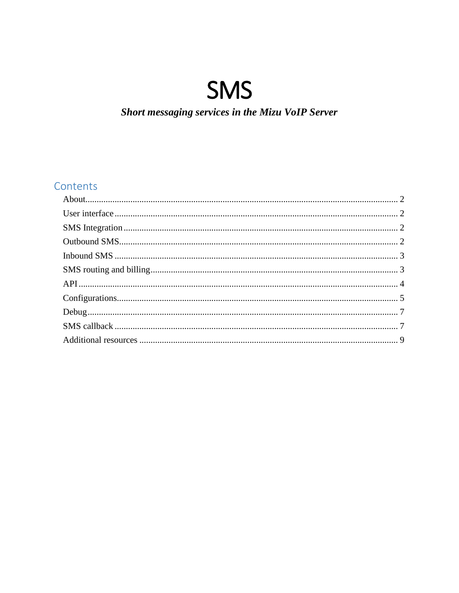# **SMS**

# Short messaging services in the Mizu VoIP Server

# Contents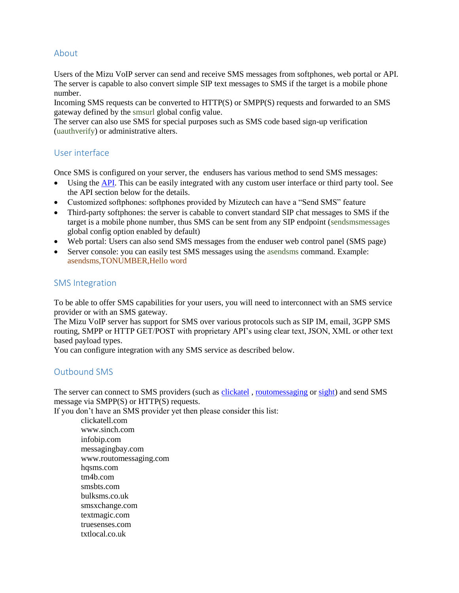# <span id="page-1-0"></span>About

Users of the Mizu VoIP server can send and receive SMS messages from softphones, web portal or API. The server is capable to also convert simple SIP text messages to SMS if the target is a mobile phone number.

Incoming SMS requests can be converted to HTTP(S) or SMPP(S) requests and forwarded to an SMS gateway defined by the smsurl global config value.

The server can also use SMS for special purposes such as SMS code based sign-up verification (uauthverify) or administrative alters.

## <span id="page-1-1"></span>User interface

Once SMS is configured on your server, the endusers has various method to send SMS messages:

- Using the [API.](https://www.mizu-voip.com/Portals/0/Files/VoIP_Server_API.pdf) This can be easily integrated with any custom user interface or third party tool. See the API section below for the details.
- Customized softphones: softphones provided by Mizutech can have a "Send SMS" feature
- Third-party softphones: the server is cabable to convert standard SIP chat messages to SMS if the target is a mobile phone number, thus SMS can be sent from any SIP endpoint (sendsmsmessages global config option enabled by default)
- Web portal: Users can also send SMS messages from the enduser web control panel (SMS page)
- Server console: you can easily test SMS messages using the asendsms command. Example: asendsms,TONUMBER,Hello word

#### <span id="page-1-2"></span>SMS Integration

To be able to offer SMS capabilities for your users, you will need to interconnect with an SMS service provider or with an SMS gateway.

The Mizu VoIP server has support for SMS over various protocols such as SIP IM, email, 3GPP SMS routing, SMPP or HTTP GET/POST with proprietary API's using clear text, JSON, XML or other text based payload types.

You can configure integration with any SMS service as described below.

## <span id="page-1-3"></span>Outbound SMS

The server can connect to SMS providers (such as [clickatel](https://www.clickatell.com/) , [routomessaging](https://www.mizu-voip.com/Portals/0/Files/sms_softswitch.pdf) or [sight\)](https://www.sinch.com/products/sms-api/) and send SMS message via SMPP(S) or HTTP(S) requests.

If you don't have an SMS provider yet then please consider this list:

clickatell.com www.sinch.com infobip.com messagingbay.com www.routomessaging.com hqsms.com tm4b.com smsbts.com bulksms.co.uk smsxchange.com textmagic.com truesenses.com txtlocal.co.uk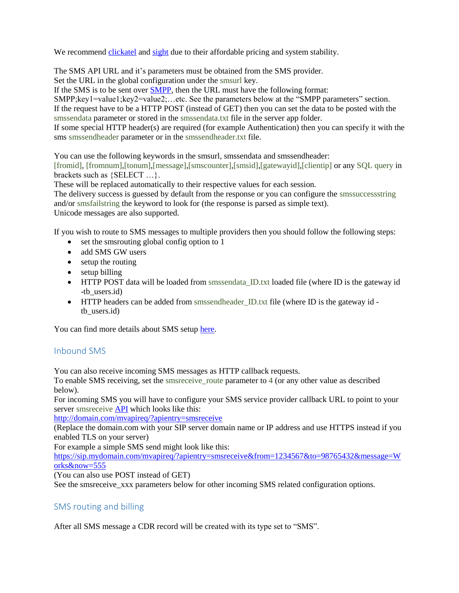We recommend *clickatel* and [sight](https://www.sinch.com/products/sms-api/) due to their affordable pricing and system stability.

The SMS API URL and it's parameters must be obtained from the SMS provider.

Set the URL in the global configuration under the smsurl key.

If the SMS is to be sent over [SMPP,](https://en.wikipedia.org/wiki/Short_Message_Peer-to-Peer) then the URL must have the following format:

SMPP;key1=value1;key2=value2;…etc. See the parameters below at the "SMPP parameters" section. If the request have to be a HTTP POST (instead of GET) then you can set the data to be posted with the smssendata parameter or stored in the smssendata.txt file in the server app folder.

If some special HTTP header(s) are required (for example Authentication) then you can specify it with the sms smssendheader parameter or in the smssendheader.txt file.

You can use the following keywords in the smsurl, smssendata and smssendheader:

[fromid], [fromnum],[tonum],[message],[smscounter],[smsid],[gatewayid],[clientip] or any SQL query in brackets such as {SELECT …}.

These will be replaced automatically to their respective values for each session.

The delivery success is guessed by default from the response or you can configure the smssuccessstring and/or smsfailstring the keyword to look for (the response is parsed as simple text). Unicode messages are also supported.

If you wish to route to SMS messages to multiple providers then you should follow the following steps:

- set the smsrouting global config option to 1
- add SMS GW users
- setup the routing
- setup billing
- HTTP POST data will be loaded from smssendata\_ID.txt loaded file (where ID is the gateway id -tb\_users.id)
- HTTP headers can be added from smssendheader\_ID.txt file (where ID is the gateway id tb\_users.id)

You can find more details about SMS setup [here.](https://www.mizu-voip.com/Portals/0/Files/sms_softswitch.pdf)

# <span id="page-2-0"></span>Inbound SMS

You can also receive incoming SMS messages as HTTP callback requests.

To enable SMS receiving, set the smsreceive route parameter to 4 (or any other value as described below).

For incoming SMS you will have to configure your SMS service provider callback URL to point to your server smsreceive [API](https://www.mizu-voip.com/Portals/0/Files/VoIP_Server_API.pdf) which looks like this:

<http://domain.com/mvapireq/?apientry=smsreceive>

(Replace the domain.com with your SIP server domain name or IP address and use HTTPS instead if you enabled TLS on your server)

For example a simple SMS send might look like this:

[https://sip.mydomain.com/mvapireq/?apientry=smsreceive&from=1234567&to=98765432&message=W](https://sip.mydomain.com/mvapireq/?apientry=smsreceive&from=1234567&to=98765432&message=Works&now=555) [orks&now=555](https://sip.mydomain.com/mvapireq/?apientry=smsreceive&from=1234567&to=98765432&message=Works&now=555)

(You can also use POST instead of GET)

See the smsreceive\_xxx parameters below for other incoming SMS related configuration options.

# <span id="page-2-1"></span>SMS routing and billing

After all SMS message a CDR record will be created with its type set to "SMS".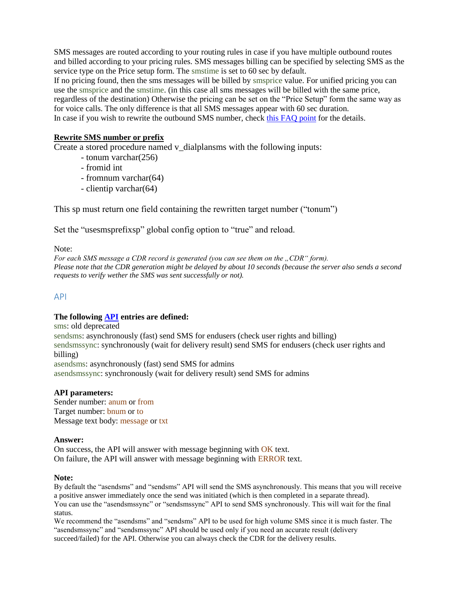SMS messages are routed according to your routing rules in case if you have multiple outbound routes and billed according to your pricing rules. SMS messages billing can be specified by selecting SMS as the service type on the Price setup form. The smstime is set to 60 sec by default.

If no pricing found, then the sms messages will be billed by smsprice value. For unified pricing you can use the smsprice and the smstime. (in this case all sms messages will be billed with the same price, regardless of the destination) Otherwise the pricing can be set on the "Price Setup" form the same way as for voice calls. The only difference is that all SMS messages appear with 60 sec duration. In case if you wish to rewrite the outbound SMS number, check this FAQ point for the details.

#### **Rewrite SMS number or prefix**

Create a stored procedure named v\_dialplansms with the following inputs:

- tonum varchar(256)
- fromid int
- fromnum varchar(64)
- clientip varchar(64)

This sp must return one field containing the rewritten target number ("tonum")

Set the "usesmsprefixsp" global config option to "true" and reload.

Note:

*For each SMS message a CDR record is generated (you can see them on the "CDR" form). Please note that the CDR generation might be delayed by about 10 seconds (because the server also sends a second requests to verify wether the SMS was sent successfully or not).*

#### <span id="page-3-0"></span>API

#### **The following [API](https://www.mizu-voip.com/Portals/0/Files/VoIP_Server_API.pdf) entries are defined:**

sms: old deprecated sendsms: asynchronously (fast) send SMS for endusers (check user rights and billing) sendsmssync: synchronously (wait for delivery result) send SMS for endusers (check user rights and billing) asendsms: asynchronously (fast) send SMS for admins asendsmssync: synchronously (wait for delivery result) send SMS for admins

#### **API parameters:**

Sender number: anum or from Target number: bnum or to Message text body: message or txt

#### **Answer:**

On success, the API will answer with message beginning with OK text. On failure, the API will answer with message beginning with ERROR text.

#### **Note:**

By default the "asendsms" and "sendsms" API will send the SMS asynchronously. This means that you will receive a positive answer immediately once the send was initiated (which is then completed in a separate thread). You can use the "asendsmssync" or "sendsmssync" API to send SMS synchronously. This will wait for the final status.

We recommend the "asendsms" and "sendsms" API to be used for high volume SMS since it is much faster. The "asendsmssync" and "sendsmssync" API should be used only if you need an accurate result (delivery succeed/failed) for the API. Otherwise you can always check the CDR for the delivery results.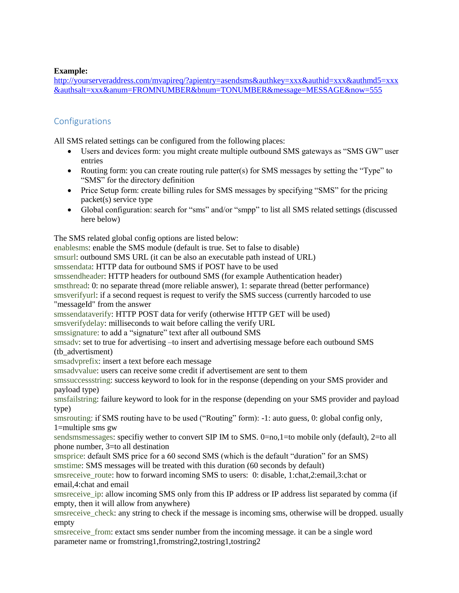### **Example:**

[http://yourserveraddress.com/mvapireq/?apientry=asendsms&authkey=xxx&authid=xxx&authmd5=xxx](http://yourserveraddress.com/mvapireq/?apientry=asendsms&authkey=xxx&authid=xxx&authmd5=xxx&authsalt=xxx&anum=FROMNUMBER&bnum=TONUMBER&message=MESSAGE&now=555) [&authsalt=xxx&anum=FROMNUMBER&bnum=TONUMBER&message=MESSAGE&now=555](http://yourserveraddress.com/mvapireq/?apientry=asendsms&authkey=xxx&authid=xxx&authmd5=xxx&authsalt=xxx&anum=FROMNUMBER&bnum=TONUMBER&message=MESSAGE&now=555)

# <span id="page-4-0"></span>**Configurations**

All SMS related settings can be configured from the following places:

- Users and devices form: you might create multiple outbound SMS gateways as "SMS GW" user entries
- Routing form: you can create routing rule patter(s) for SMS messages by setting the "Type" to "SMS" for the directory definition
- Price Setup form: create billing rules for SMS messages by specifying "SMS" for the pricing packet(s) service type
- Global configuration: search for "sms" and/or "smpp" to list all SMS related settings (discussed here below)

The SMS related global config options are listed below:

enablesms: enable the SMS module (default is true. Set to false to disable)

smsurl: outbound SMS URL (it can be also an executable path instead of URL)

smssendata: HTTP data for outbound SMS if POST have to be used

smssendheader: HTTP headers for outbound SMS (for example Authentication header)

smsthread: 0: no separate thread (more reliable answer), 1: separate thread (better performance)

smsverifyurl: if a second request is request to verify the SMS success (currently harcoded to use "messageId" from the answer

smssendataverify: HTTP POST data for verify (otherwise HTTP GET will be used)

smsverifydelay: milliseconds to wait before calling the verify URL

smssignature: to add a "signature" text after all outbound SMS

smsadv: set to true for advertising –to insert and advertising message before each outbound SMS (tb\_advertisment)

smsadvprefix: insert a text before each message

smsadvvalue: users can receive some credit if advertisement are sent to them

smssuccessstring: success keyword to look for in the response (depending on your SMS provider and payload type)

smsfailstring: failure keyword to look for in the response (depending on your SMS provider and payload type)

smsrouting: if SMS routing have to be used ("Routing" form): -1: auto guess, 0: global config only, 1=multiple sms gw

sendsmsmessages: specifiy wether to convert SIP IM to SMS. 0=no,1=to mobile only (default), 2=to all phone number, 3=to all destination

smsprice: default SMS price for a 60 second SMS (which is the default "duration" for an SMS) smstime: SMS messages will be treated with this duration (60 seconds by default)

smsreceive\_route: how to forward incoming SMS to users: 0: disable, 1:chat,2:email,3:chat or email,4:chat and email

smsreceive ip: allow incoming SMS only from this IP address or IP address list separated by comma (if empty, then it will allow from anywhere)

smsreceive check: any string to check if the message is incoming sms, otherwise will be dropped. usually empty

smsreceive from: extact sms sender number from the incoming message. it can be a single word parameter name or fromstring1,fromstring2,tostring1,tostring2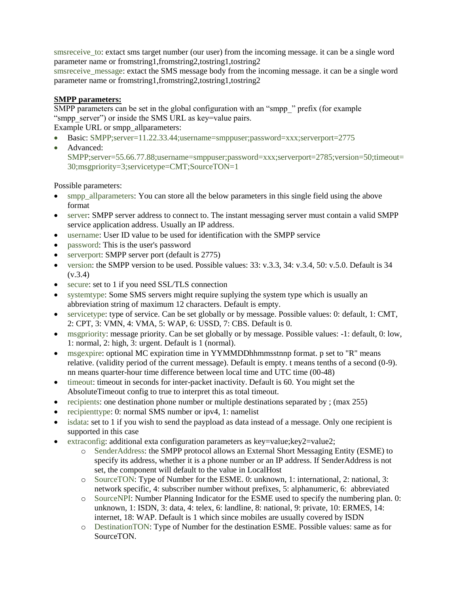smsreceive to: extact sms target number (our user) from the incoming message, it can be a single word parameter name or fromstring1,fromstring2,tostring1,tostring2

smsreceive message: extact the SMS message body from the incoming message. it can be a single word parameter name or fromstring1,fromstring2,tostring1,tostring2

### **SMPP parameters:**

SMPP parameters can be set in the global configuration with an "smpp" prefix (for example "smpp\_server") or inside the SMS URL as key=value pairs.

Example URL or smpp\_allparameters:

- Basic: SMPP;server=11.22.33.44;username=smppuser;password=xxx;serverport=2775
- Advanced: SMPP;server=55.66.77.88;username=smppuser;password=xxx;serverport=2785;version=50;timeout= 30;msgpriority=3;servicetype=CMT;SourceTON=1

Possible parameters:

- smpp\_allparameters: You can store all the below parameters in this single field using the above format
- server: SMPP server address to connect to. The instant messaging server must contain a valid SMPP service application address. Usually an IP address.
- username: User ID value to be used for identification with the SMPP service
- password: This is the user's password
- serverport: SMPP server port (default is 2775)
- version: the SMPP version to be used. Possible values: 33: v.3.3, 34: v.3.4, 50: v.5.0. Default is 34  $(v.3.4)$
- secure: set to 1 if you need SSL/TLS connection
- systemtype: Some SMS servers might require suplying the system type which is usually an abbreviation string of maximum 12 characters. Default is empty.
- servicetype: type of service. Can be set globally or by message. Possible values: 0: default, 1: CMT, 2: CPT, 3: VMN, 4: VMA, 5: WAP, 6: USSD, 7: CBS. Default is 0.
- msgpriority: message priority. Can be set globally or by message. Possible values: -1: default, 0: low, 1: normal, 2: high, 3: urgent. Default is 1 (normal).
- msgexpire: optional MC expiration time in YYMMDDhhmmsstnnp format. p set to "R" means relative. (validity period of the current message). Default is empty. t means tenths of a second (0-9). nn means quarter-hour time difference between local time and UTC time (00-48)
- timeout: timeout in seconds for inter-packet inactivity. Default is 60. You might set the AbsoluteTimeout config to true to interpret this as total timeout.
- recipients: one destination phone number or multiple destinations separated by ; (max  $255$ )
- recipienttype: 0: normal SMS number or ipv4, 1: namelist
- isdata: set to 1 if you wish to send the paypload as data instead of a message. Only one recipient is supported in this case
- Extraconfig: additional exta configuration parameters as key=value;key2=value2;
	- o SenderAddress: the SMPP protocol allows an External Short Messaging Entity (ESME) to specify its address, whether it is a phone number or an IP address. If SenderAddress is not set, the component will default to the value in LocalHost
	- o SourceTON: Type of Number for the ESME. 0: unknown, 1: international, 2: national, 3: network specific, 4: subscriber number without prefixes, 5: alphanumeric, 6: abbreviated
	- o SourceNPI: Number Planning Indicator for the ESME used to specify the numbering plan. 0: unknown, 1: ISDN, 3: data, 4: telex, 6: landline, 8: national, 9: private, 10: ERMES, 14: internet, 18: WAP. Default is 1 which since mobiles are usually covered by ISDN
	- o DestinationTON: Type of Number for the destination ESME. Possible values: same as for SourceTON.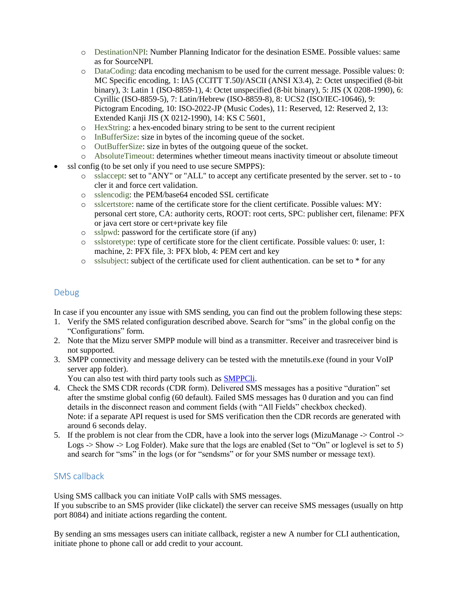- o DestinationNPI: Number Planning Indicator for the desination ESME. Possible values: same as for SourceNPI.
- o DataCoding: data encoding mechanism to be used for the current message. Possible values: 0: MC Specific encoding, 1: IA5 (CCITT T.50)/ASCII (ANSI X3.4), 2: Octet unspecified (8-bit binary), 3: Latin 1 (ISO-8859-1), 4: Octet unspecified (8-bit binary), 5: JIS (X 0208-1990), 6: Cyrillic (ISO-8859-5), 7: Latin/Hebrew (ISO-8859-8), 8: UCS2 (ISO/IEC-10646), 9: Pictogram Encoding, 10: ISO-2022-JP (Music Codes), 11: Reserved, 12: Reserved 2, 13: Extended Kanji JIS (X 0212-1990), 14: KS C 5601,
- o HexString: a hex-encoded binary string to be sent to the current recipient
- o InBufferSize: size in bytes of the incoming queue of the socket.
- o OutBufferSize: size in bytes of the outgoing queue of the socket.
- o AbsoluteTimeout: determines whether timeout means inactivity timeout or absolute timeout
- ssl config (to be set only if you need to use secure SMPPS):
	- o sslaccept: set to "ANY" or "ALL" to accept any certificate presented by the server. set to to cler it and force cert validation.
	- o sslencodig: the PEM/base64 encoded SSL certificate
	- o sslcertstore: name of the certificate store for the client certificate. Possible values: MY: personal cert store, CA: authority certs, ROOT: root certs, SPC: publisher cert, filename: PFX or java cert store or cert+private key file
	- o sslpwd: password for the certificate store (if any)
	- o sslstoretype: type of certificate store for the client certificate. Possible values: 0: user, 1: machine, 2: PFX file, 3: PFX blob, 4: PEM cert and key
	- o sslsubject: subject of the certificate used for client authentication. can be set to \* for any

# <span id="page-6-0"></span>Debug

In case if you encounter any issue with SMS sending, you can find out the problem following these steps:

- 1. Verify the SMS related configuration described above. Search for "sms" in the global config on the "Configurations" form.
- 2. Note that the Mizu server SMPP module will bind as a transmitter. Receiver and trasreceiver bind is not supported.
- 3. SMPP connectivity and message delivery can be tested with the mnetutils.exe (found in your VoIP server app folder).

You can also test with third party tools such as **SMPPC**li.

- 4. Check the SMS CDR records (CDR form). Delivered SMS messages has a positive "duration" set after the smstime global config (60 default). Failed SMS messages has 0 duration and you can find details in the disconnect reason and comment fields (with "All Fields" checkbox checked). Note: if a separate API request is used for SMS verification then the CDR records are generated with around 6 seconds delay.
- 5. If the problem is not clear from the CDR, have a look into the server logs (MizuManage -> Control -> Logs -> Show -> Log Folder). Make sure that the logs are enabled (Set to "On" or loglevel is set to 5) and search for "sms" in the logs (or for "sendsms" or for your SMS number or message text).

# <span id="page-6-1"></span>SMS callback

Using SMS callback you can initiate VoIP calls with SMS messages.

If you subscribe to an SMS provider (like clickatel) the server can receive SMS messages (usually on http port 8084) and initiate actions regarding the content.

By sending an sms messages users can initiate callback, register a new A number for CLI authentication, initiate phone to phone call or add credit to your account.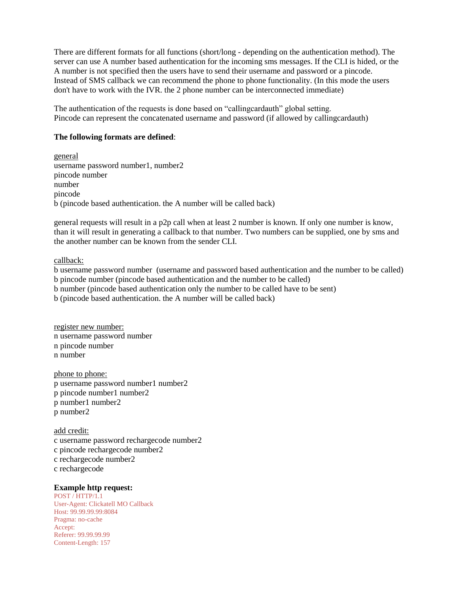There are different formats for all functions (short/long - depending on the authentication method). The server can use A number based authentication for the incoming sms messages. If the CLI is hided, or the A number is not specified then the users have to send their username and password or a pincode. Instead of SMS callback we can recommend the phone to phone functionality. (In this mode the users don't have to work with the IVR. the 2 phone number can be interconnected immediate)

The authentication of the requests is done based on "callingcardauth" global setting. Pincode can represent the concatenated username and password (if allowed by callingcardauth)

#### **The following formats are defined**:

general username password number1, number2 pincode number number pincode b (pincode based authentication. the A number will be called back)

general requests will result in a p2p call when at least 2 number is known. If only one number is know, than it will result in generating a callback to that number. Two numbers can be supplied, one by sms and the another number can be known from the sender CLI.

#### callback:

b username password number (username and password based authentication and the number to be called) b pincode number (pincode based authentication and the number to be called) b number (pincode based authentication only the number to be called have to be sent) b (pincode based authentication. the A number will be called back)

register new number: n username password number n pincode number n number

phone to phone: p username password number1 number2 p pincode number1 number2 p number1 number2 p number2

add credit: c username password rechargecode number2 c pincode rechargecode number2 c rechargecode number2 c rechargecode

#### **Example http request:**

POST / HTTP/1.1 User-Agent: Clickatell MO Callback Host: 99.99.99.99:8084 Pragma: no-cache Accept: Referer: 99.99.99.99 Content-Length: 157